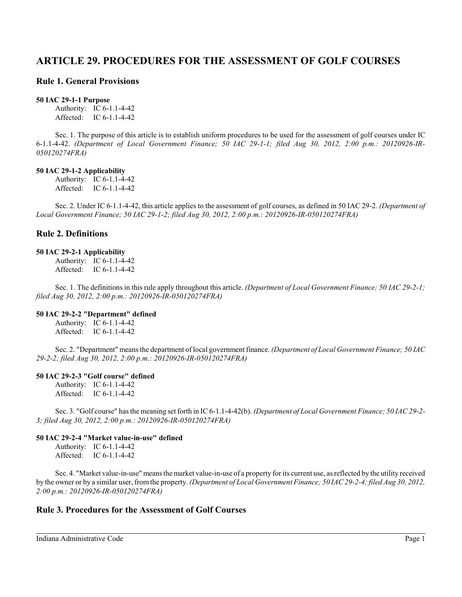# **ARTICLE 29. PROCEDURES FOR THE ASSESSMENT OF GOLF COURSES**

# **Rule 1. General Provisions**

### **50 IAC 29-1-1 Purpose**

Authority: IC 6-1.1-4-42 Affected: IC 6-1.1-4-42

Sec. 1. The purpose of this article is to establish uniform procedures to be used for the assessment of golf courses under IC 6-1.1-4-42. *(Department of Local Government Finance; 50 IAC 29-1-1; filed Aug 30, 2012, 2:00 p.m.: 20120926-IR-050120274FRA)*

### **50 IAC 29-1-2 Applicability**

Authority: IC 6-1.1-4-42 Affected: IC 6-1.1-4-42

Sec. 2. Under IC 6-1.1-4-42, this article applies to the assessment of golf courses, as defined in 50 IAC 29-2. *(Department of Local Government Finance; 50 IAC 29-1-2; filed Aug 30, 2012, 2:00 p.m.: 20120926-IR-050120274FRA)*

# **Rule 2. Definitions**

### **50 IAC 29-2-1 Applicability**

Authority: IC 6-1.1-4-42 Affected: IC 6-1.1-4-42

Sec. 1. The definitions in this rule apply throughout this article. *(Department of Local Government Finance; 50 IAC 29-2-1; filed Aug 30, 2012, 2:00 p.m.: 20120926-IR-050120274FRA)*

## **50 IAC 29-2-2 "Department" defined**

Authority: IC 6-1.1-4-42 Affected: IC 6-1.1-4-42

Sec. 2. "Department" means the department of local government finance. *(Department of Local Government Finance; 50 IAC 29-2-2; filed Aug 30, 2012, 2:00 p.m.: 20120926-IR-050120274FRA)*

## **50 IAC 29-2-3 "Golf course" defined**

Authority: IC 6-1.1-4-42 Affected: IC 6-1.1-4-42

Sec. 3. "Golf course" has the meaning set forth in IC 6-1.1-4-42(b). *(Department of Local Government Finance; 50 IAC 29-2- 3; filed Aug 30, 2012, 2:00 p.m.: 20120926-IR-050120274FRA)*

## **50 IAC 29-2-4 "Market value-in-use" defined**

Authority: IC 6-1.1-4-42 Affected: IC 6-1.1-4-42

Sec. 4. "Market value-in-use" means the market value-in-use of a property for its current use, as reflected by the utility received by the owner or by a similar user, from the property. *(Department of Local Government Finance; 50 IAC 29-2-4; filed Aug 30, 2012, 2:00 p.m.: 20120926-IR-050120274FRA)*

# **Rule 3. Procedures for the Assessment of Golf Courses**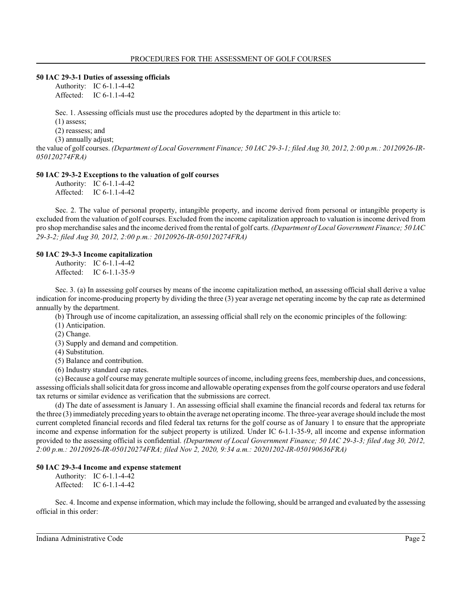### **50 IAC 29-3-1 Duties of assessing officials**

Authority: IC 6-1.1-4-42 Affected: IC 6-1.1-4-42

Sec. 1. Assessing officials must use the procedures adopted by the department in this article to:

(1) assess;

(2) reassess; and

(3) annually adjust;

the value of golf courses. *(Department of Local Government Finance; 50 IAC 29-3-1; filed Aug 30, 2012, 2:00 p.m.: 20120926-IR-050120274FRA)*

### **50 IAC 29-3-2 Exceptions to the valuation of golf courses**

Authority: IC 6-1.1-4-42 Affected: IC 6-1.1-4-42

Sec. 2. The value of personal property, intangible property, and income derived from personal or intangible property is excluded from the valuation of golf courses. Excluded from the income capitalization approach to valuation is income derived from pro shop merchandise sales and the income derived fromthe rental of golf carts. *(Department of Local Government Finance; 50 IAC 29-3-2; filed Aug 30, 2012, 2:00 p.m.: 20120926-IR-050120274FRA)*

### **50 IAC 29-3-3 Income capitalization**

Authority: IC 6-1.1-4-42 Affected: IC 6-1.1-35-9

Sec. 3. (a) In assessing golf courses by means of the income capitalization method, an assessing official shall derive a value indication for income-producing property by dividing the three (3) year average net operating income by the cap rate as determined annually by the department.

(b) Through use of income capitalization, an assessing official shall rely on the economic principles of the following:

(1) Anticipation.

(2) Change.

(3) Supply and demand and competition.

(4) Substitution.

(5) Balance and contribution.

(6) Industry standard cap rates.

(c) Because a golf course may generate multiple sources of income, including greens fees, membership dues, and concessions, assessing officials shall solicit data for gross income and allowable operating expenses from the golf course operators and use federal tax returns or similar evidence as verification that the submissions are correct.

(d) The date of assessment is January 1. An assessing official shall examine the financial records and federal tax returns for the three (3) immediately preceding years to obtain the average net operating income. The three-year average should include the most current completed financial records and filed federal tax returns for the golf course as of January 1 to ensure that the appropriate income and expense information for the subject property is utilized. Under IC 6-1.1-35-9, all income and expense information provided to the assessing official is confidential. *(Department of Local Government Finance; 50 IAC 29-3-3; filed Aug 30, 2012, 2:00 p.m.: 20120926-IR-050120274FRA; filed Nov 2, 2020, 9:34 a.m.: 20201202-IR-050190636FRA)*

### **50 IAC 29-3-4 Income and expense statement**

Authority: IC 6-1.1-4-42 Affected: IC 6-1.1-4-42

Sec. 4. Income and expense information, which may include the following, should be arranged and evaluated by the assessing official in this order: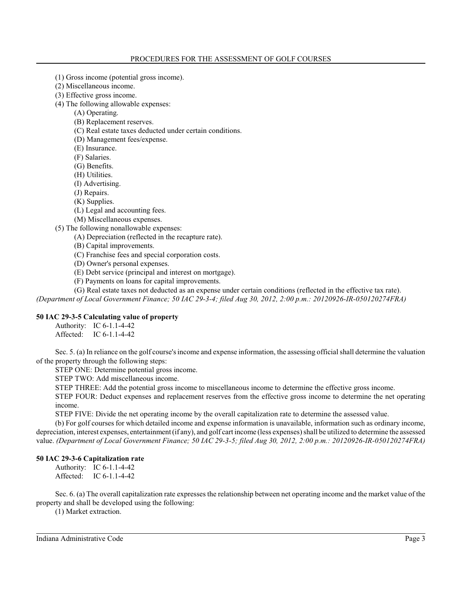- (1) Gross income (potential gross income).
- (2) Miscellaneous income.
- (3) Effective gross income.
- (4) The following allowable expenses:
	- (A) Operating.
	- (B) Replacement reserves.
	- (C) Real estate taxes deducted under certain conditions.
	- (D) Management fees/expense.
	- (E) Insurance.
	- (F) Salaries.
	- (G) Benefits.
	- (H) Utilities.
	- (I) Advertising.
	- (J) Repairs.
	- (K) Supplies.
	- (L) Legal and accounting fees.
	- (M) Miscellaneous expenses.
- (5) The following nonallowable expenses:
	- (A) Depreciation (reflected in the recapture rate).
	- (B) Capital improvements.
	- (C) Franchise fees and special corporation costs.
	- (D) Owner's personal expenses.
	- (E) Debt service (principal and interest on mortgage).
	- (F) Payments on loans for capital improvements.

(G) Real estate taxes not deducted as an expense under certain conditions (reflected in the effective tax rate). *(Department of Local Government Finance; 50 IAC 29-3-4; filed Aug 30, 2012, 2:00 p.m.: 20120926-IR-050120274FRA)*

## **50 IAC 29-3-5 Calculating value of property**

Authority: IC 6-1.1-4-42 Affected: IC 6-1.1-4-42

Sec. 5. (a) In reliance on the golf course's income and expense information, the assessing official shall determine the valuation of the property through the following steps:

STEP ONE: Determine potential gross income.

STEP TWO: Add miscellaneous income.

STEP THREE: Add the potential gross income to miscellaneous income to determine the effective gross income.

STEP FOUR: Deduct expenses and replacement reserves from the effective gross income to determine the net operating income.

STEP FIVE: Divide the net operating income by the overall capitalization rate to determine the assessed value.

(b) For golf courses for which detailed income and expense information is unavailable, information such as ordinary income, depreciation, interest expenses, entertainment (if any), and golf cart income (less expenses) shall be utilized to determine the assessed value. *(Department of Local Government Finance; 50 IAC 29-3-5; filed Aug 30, 2012, 2:00 p.m.: 20120926-IR-050120274FRA)*

### **50 IAC 29-3-6 Capitalization rate**

Authority: IC 6-1.1-4-42 Affected: IC 6-1.1-4-42

Sec. 6. (a) The overall capitalization rate expresses the relationship between net operating income and the market value of the property and shall be developed using the following:

(1) Market extraction.